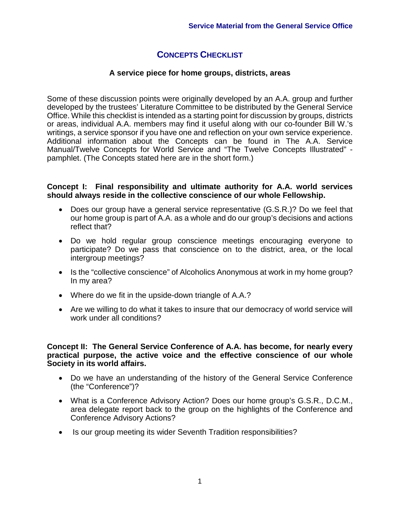# **CONCEPTS CHECKLIST**

## **A service piece for home groups, districts, areas**

Some of these discussion points were originally developed by an A.A. group and further developed by the trustees' Literature Committee to be distributed by the General Service Office. While this checklist is intended as a starting point for discussion by groups, districts or areas, individual A.A. members may find it useful along with our co-founder Bill W.'s writings, a service sponsor if you have one and reflection on your own service experience. Additional information about the Concepts can be found in The A.A. Service Manual/Twelve Concepts for World Service and "The Twelve Concepts Illustrated" pamphlet. (The Concepts stated here are in the short form.)

#### **Concept I: Final responsibility and ultimate authority for A.A. world services should always reside in the collective conscience of our whole Fellowship.**

- Does our group have a general service representative (G.S.R.)? Do we feel that our home group is part of A.A. as a whole and do our group's decisions and actions reflect that?
- Do we hold regular group conscience meetings encouraging everyone to participate? Do we pass that conscience on to the district, area, or the local intergroup meetings?
- Is the "collective conscience" of Alcoholics Anonymous at work in my home group? In my area?
- Where do we fit in the upside-down triangle of A.A.?
- Are we willing to do what it takes to insure that our democracy of world service will work under all conditions?

#### **Concept II: The General Service Conference of A.A. has become, for nearly every practical purpose, the active voice and the effective conscience of our whole Society in its world affairs.**

- Do we have an understanding of the history of the General Service Conference (the "Conference")?
- What is a Conference Advisory Action? Does our home group's G.S.R., D.C.M., area delegate report back to the group on the highlights of the Conference and Conference Advisory Actions?
- Is our group meeting its wider Seventh Tradition responsibilities?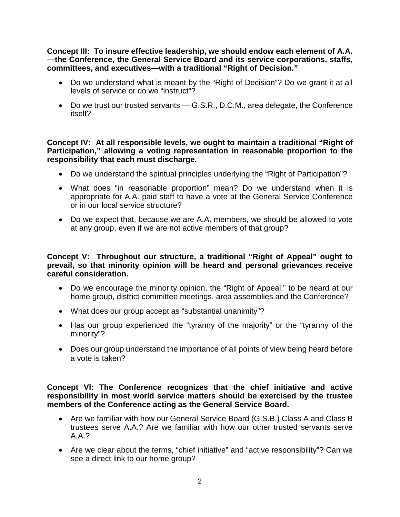**Concept III: To insure effective leadership, we should endow each element of A.A. —the Conference, the General Service Board and its service corporations, staffs, committees, and executives—with a traditional "Right of Decision."**

- Do we understand what is meant by the "Right of Decision"? Do we grant it at all levels of service or do we "instruct"?
- Do we trust our trusted servants G.S.R., D.C.M., area delegate, the Conference itself?

#### **Concept IV: At all responsible levels, we ought to maintain a traditional "Right of Participation," allowing a voting representation in reasonable proportion to the responsibility that each must discharge.**

- Do we understand the spiritual principles underlying the "Right of Participation"?
- What does "in reasonable proportion" mean? Do we understand when it is appropriate for A.A. paid staff to have a vote at the General Service Conference or in our local service structure?
- Do we expect that, because we are A.A. members, we should be allowed to vote at any group, even if we are not active members of that group?

## **Concept V: Throughout our structure, a traditional "Right of Appeal" ought to prevail, so that minority opinion will be heard and personal grievances receive careful consideration.**

- Do we encourage the minority opinion, the "Right of Appeal," to be heard at our home group, district committee meetings, area assemblies and the Conference?
- What does our group accept as "substantial unanimity"?
- Has our group experienced the "tyranny of the majority" or the "tyranny of the minority"?
- Does our group understand the importance of all points of view being heard before a vote is taken?

## **Concept Vl: The Conference recognizes that the chief initiative and active responsibility in most world service matters should be exercised by the trustee members of the Conference acting as the General Service Board.**

- Are we familiar with how our General Service Board (G.S.B.) Class A and Class B trustees serve A.A.? Are we familiar with how our other trusted servants serve A.A.?
- Are we clear about the terms, "chief initiative" and "active responsibility"? Can we see a direct link to our home group?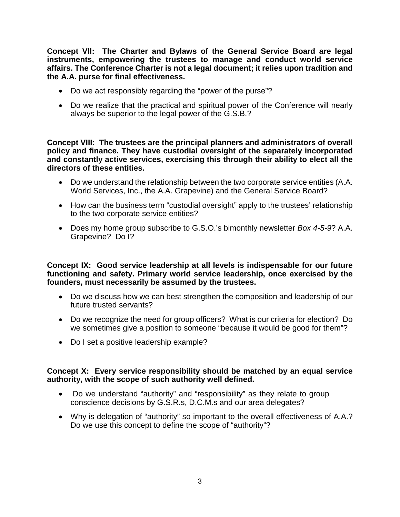**Concept Vll: The Charter and Bylaws of the General Service Board are legal instruments, empowering the trustees to manage and conduct world service affairs. The Conference Charter is not a legal document; it relies upon tradition and the A.A. purse for final effectiveness.**

- Do we act responsibly regarding the "power of the purse"?
- Do we realize that the practical and spiritual power of the Conference will nearly always be superior to the legal power of the G.S.B.?

**Concept VIII: The trustees are the principal planners and administrators of overall policy and finance. They have custodial oversight of the separately incorporated and constantly active services, exercising this through their ability to elect all the directors of these entities.**

- Do we understand the relationship between the two corporate service entities (A.A. World Services, Inc., the A.A. Grapevine) and the General Service Board?
- How can the business term "custodial oversight" apply to the trustees' relationship to the two corporate service entities?
- Does my home group subscribe to G.S.O.'s bimonthly newsletter *Box 4-5-9*? A.A. Grapevine? Do I?

**Concept IX: Good service leadership at all levels is indispensable for our future functioning and safety. Primary world service leadership, once exercised by the founders, must necessarily be assumed by the trustees.**

- Do we discuss how we can best strengthen the composition and leadership of our future trusted servants?
- Do we recognize the need for group officers? What is our criteria for election? Do we sometimes give a position to someone "because it would be good for them"?
- Do I set a positive leadership example?

## **Concept X: Every service responsibility should be matched by an equal service authority, with the scope of such authority well defined.**

- Do we understand "authority" and "responsibility" as they relate to group conscience decisions by G.S.R.s, D.C.M.s and our area delegates?
- Why is delegation of "authority" so important to the overall effectiveness of A.A.? Do we use this concept to define the scope of "authority"?